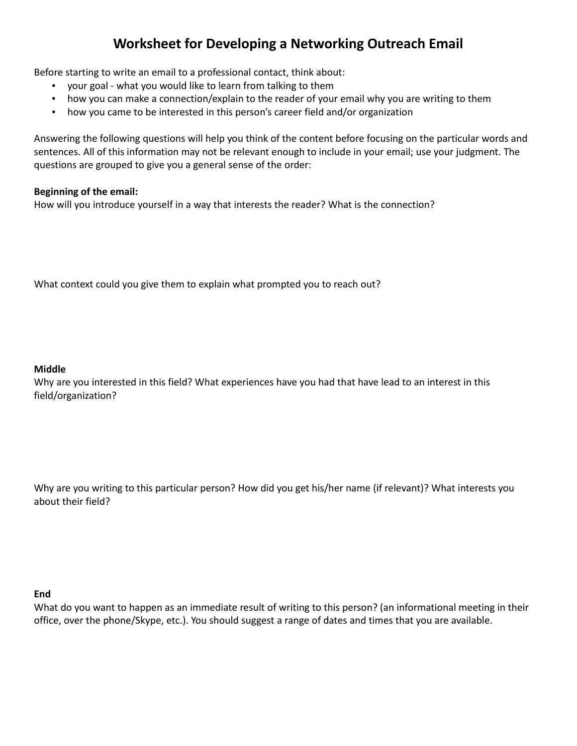# **Worksheet for Developing a Networking Outreach Email**

Before starting to write an email to a professional contact, think about:

- your goal what you would like to learn from talking to them
- how you can make a connection/explain to the reader of your email why you are writing to them
- how you came to be interested in this person's career field and/or organization

Answering the following questions will help you think of the content before focusing on the particular words and sentences. All of this information may not be relevant enough to include in your email; use your judgment. The questions are grouped to give you a general sense of the order:

# **Beginning of the email:**

How will you introduce yourself in a way that interests the reader? What is the connection?

What context could you give them to explain what prompted you to reach out?

### **Middle**

Why are you interested in this field? What experiences have you had that have lead to an interest in this field/organization?

Why are you writing to this particular person? How did you get his/her name (if relevant)? What interests you about their field?

### **End**

What do you want to happen as an immediate result of writing to this person? (an informational meeting in their office, over the phone/Skype, etc.). You should suggest a range of dates and times that you are available.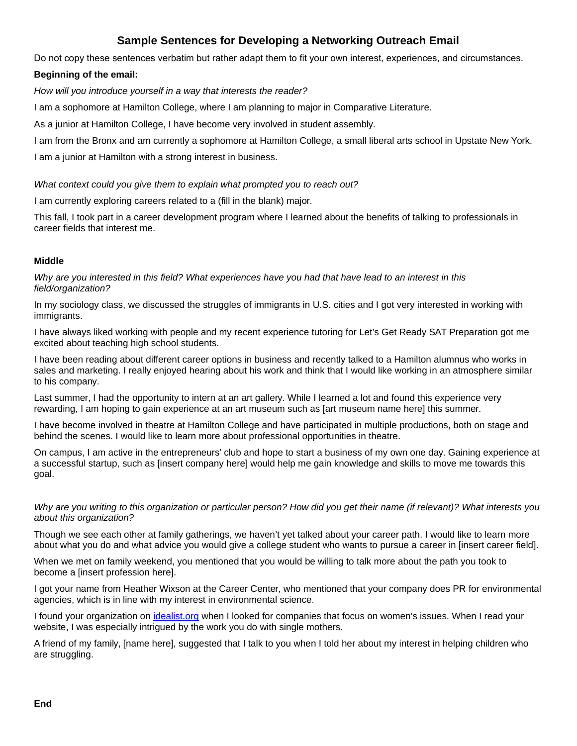# **Sample Sentences for Developing a Networking Outreach Email**

Do not copy these sentences verbatim but rather adapt them to fit your own interest, experiences, and circumstances.

# **Beginning of the email:**

How will you introduce yourself in a way that interests the reader?

I am a sophomore at Hamilton College, where I am planning to major in Comparative Literature.

As a junior at Hamilton College, I have become very involved in student assembly.

I am from the Bronx and am currently a sophomore at Hamilton College, a small liberal arts school in Upstate New York.

I am a junior at Hamilton with a strong interest in business.

### What context could you give them to explain what prompted you to reach out?

I am currently exploring careers related to a (fill in the blank) major.

 This fall, I took part in a career development program where I learned about the benefits of talking to professionals in career fields that interest me.

# **Middle**

 Why are you interested in this field? What experiences have you had that have lead to an interest in this field/organization?

 In my sociology class, we discussed the struggles of immigrants in U.S. cities and I got very interested in working with immigrants.

 I have always liked working with people and my recent experience tutoring for Let's Get Ready SAT Preparation got me excited about teaching high school students.

 I have been reading about different career options in business and recently talked to a Hamilton alumnus who works in sales and marketing. I really enjoyed hearing about his work and think that I would like working in an atmosphere similar to his company.

 Last summer, I had the opportunity to intern at an art gallery. While I learned a lot and found this experience very rewarding, I am hoping to gain experience at an art museum such as [art museum name here] this summer.

 I have become involved in theatre at Hamilton College and have participated in multiple productions, both on stage and behind the scenes. I would like to learn more about professional opportunities in theatre.

 On campus, I am active in the entrepreneurs' club and hope to start a business of my own one day. Gaining experience at a successful startup, such as [insert company here] would help me gain knowledge and skills to move me towards this goal.

 Why are you writing to this organization or particular person? How did you get their name (if relevant)? What interests you about this organization?

 Though we see each other at family gatherings, we haven't yet talked about your career path. I would like to learn more about what you do and what advice you would give a college student who wants to pursue a career in [insert career field].

 When we met on family weekend, you mentioned that you would be willing to talk more about the path you took to become a [insert profession here].

 I got your name from Heather Wixson at the Career Center, who mentioned that your company does PR for environmental agencies, which is in line with my interest in environmental science.

I found your organization on [idealist.org](http://idealist.org/) when I looked for companies that focus on women's issues. When I read your website, I was especially intrigued by the work you do with single mothers.

 A friend of my family, [name here], suggested that I talk to you when I told her about my interest in helping children who are struggling.